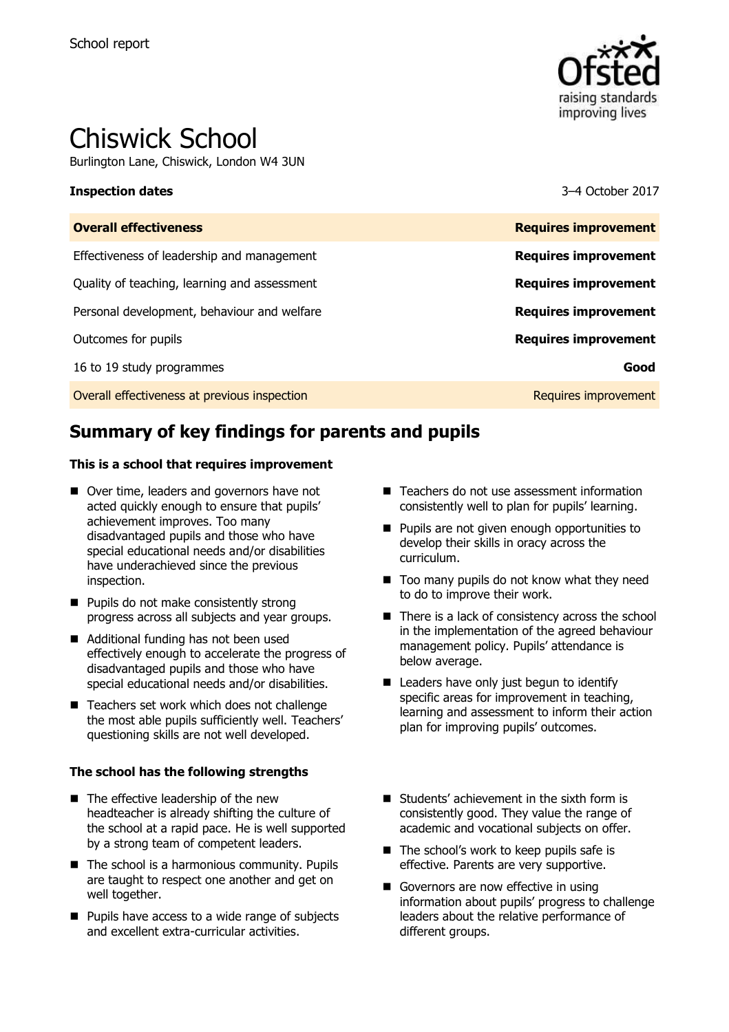

# Chiswick School

Burlington Lane, Chiswick, London W4 3UN

#### **Inspection dates** 3–4 October 2017

| <b>Overall effectiveness</b>                 | <b>Requires improvement</b> |
|----------------------------------------------|-----------------------------|
| Effectiveness of leadership and management   | <b>Requires improvement</b> |
| Quality of teaching, learning and assessment | <b>Requires improvement</b> |
| Personal development, behaviour and welfare  | <b>Requires improvement</b> |
| Outcomes for pupils                          | <b>Requires improvement</b> |
| 16 to 19 study programmes                    | Good                        |
| Overall effectiveness at previous inspection | Requires improvement        |

# **Summary of key findings for parents and pupils**

#### **This is a school that requires improvement**

- Over time, leaders and governors have not acted quickly enough to ensure that pupils' achievement improves. Too many disadvantaged pupils and those who have special educational needs and/or disabilities have underachieved since the previous inspection.
- **Pupils do not make consistently strong** progress across all subjects and year groups.
- Additional funding has not been used effectively enough to accelerate the progress of disadvantaged pupils and those who have special educational needs and/or disabilities.
- Teachers set work which does not challenge the most able pupils sufficiently well. Teachers' questioning skills are not well developed.

#### **The school has the following strengths**

- $\blacksquare$  The effective leadership of the new headteacher is already shifting the culture of the school at a rapid pace. He is well supported by a strong team of competent leaders.
- $\blacksquare$  The school is a harmonious community. Pupils are taught to respect one another and get on well together.
- **Pupils have access to a wide range of subjects** and excellent extra-curricular activities.
- Teachers do not use assessment information consistently well to plan for pupils' learning.
- **Pupils are not given enough opportunities to** develop their skills in oracy across the curriculum.
- Too many pupils do not know what they need to do to improve their work.
- There is a lack of consistency across the school in the implementation of the agreed behaviour management policy. Pupils' attendance is below average.
- Leaders have only just begun to identify specific areas for improvement in teaching, learning and assessment to inform their action plan for improving pupils' outcomes.
- Students' achievement in the sixth form is consistently good. They value the range of academic and vocational subjects on offer.
- The school's work to keep pupils safe is effective. Parents are very supportive.
- Governors are now effective in using information about pupils' progress to challenge leaders about the relative performance of different groups.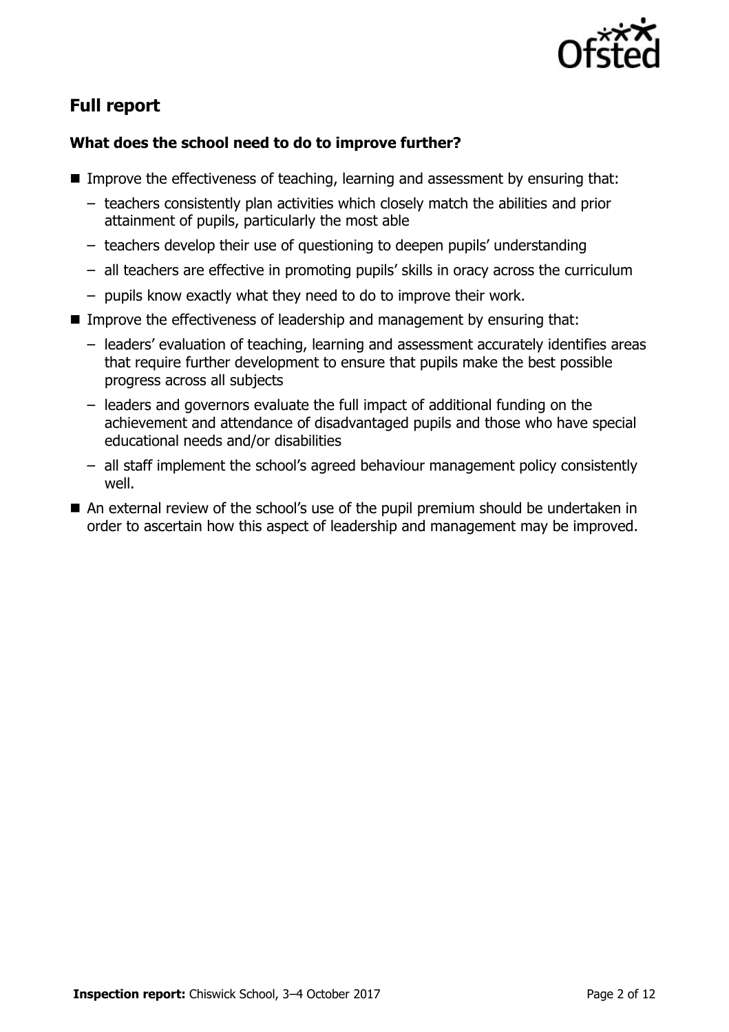

# **Full report**

### **What does the school need to do to improve further?**

- Improve the effectiveness of teaching, learning and assessment by ensuring that:
	- teachers consistently plan activities which closely match the abilities and prior attainment of pupils, particularly the most able
	- teachers develop their use of questioning to deepen pupils' understanding
	- all teachers are effective in promoting pupils' skills in oracy across the curriculum
	- pupils know exactly what they need to do to improve their work.
- Improve the effectiveness of leadership and management by ensuring that:
	- leaders' evaluation of teaching, learning and assessment accurately identifies areas that require further development to ensure that pupils make the best possible progress across all subjects
	- leaders and governors evaluate the full impact of additional funding on the achievement and attendance of disadvantaged pupils and those who have special educational needs and/or disabilities
	- all staff implement the school's agreed behaviour management policy consistently well.
- An external review of the school's use of the pupil premium should be undertaken in order to ascertain how this aspect of leadership and management may be improved.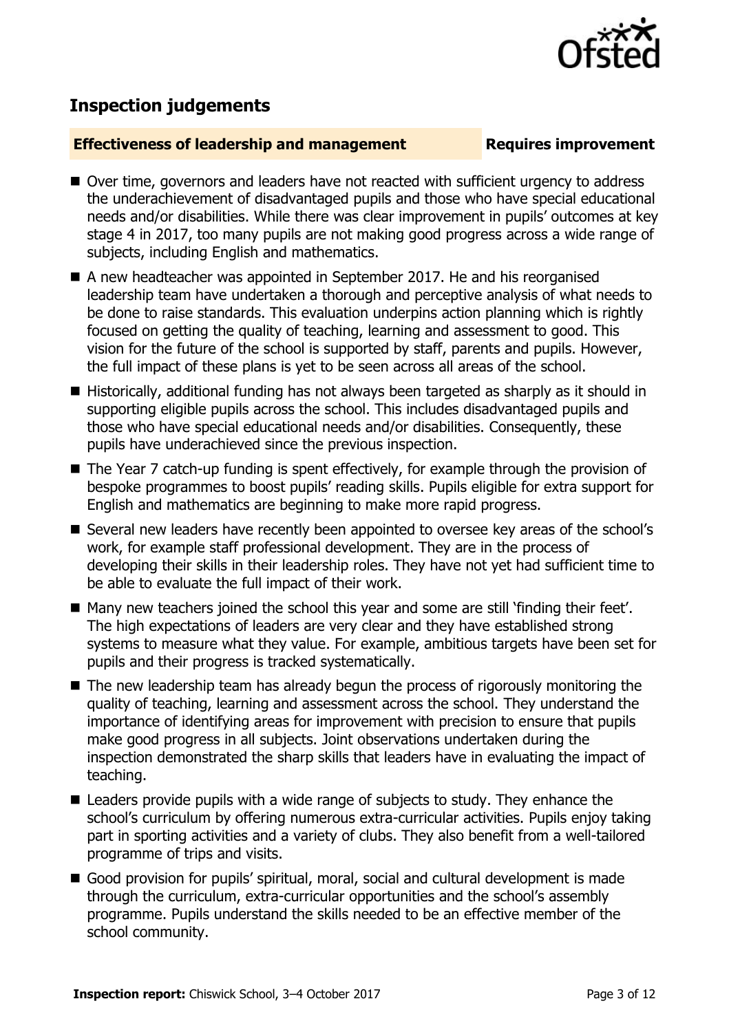

## **Inspection judgements**

#### **Effectiveness of leadership and management Requires improvement**

- Over time, governors and leaders have not reacted with sufficient urgency to address the underachievement of disadvantaged pupils and those who have special educational needs and/or disabilities. While there was clear improvement in pupils' outcomes at key stage 4 in 2017, too many pupils are not making good progress across a wide range of subjects, including English and mathematics.
- A new headteacher was appointed in September 2017. He and his reorganised leadership team have undertaken a thorough and perceptive analysis of what needs to be done to raise standards. This evaluation underpins action planning which is rightly focused on getting the quality of teaching, learning and assessment to good. This vision for the future of the school is supported by staff, parents and pupils. However, the full impact of these plans is yet to be seen across all areas of the school.
- Historically, additional funding has not always been targeted as sharply as it should in supporting eligible pupils across the school. This includes disadvantaged pupils and those who have special educational needs and/or disabilities. Consequently, these pupils have underachieved since the previous inspection.
- The Year 7 catch-up funding is spent effectively, for example through the provision of bespoke programmes to boost pupils' reading skills. Pupils eligible for extra support for English and mathematics are beginning to make more rapid progress.
- Several new leaders have recently been appointed to oversee key areas of the school's work, for example staff professional development. They are in the process of developing their skills in their leadership roles. They have not yet had sufficient time to be able to evaluate the full impact of their work.
- Many new teachers joined the school this year and some are still 'finding their feet'. The high expectations of leaders are very clear and they have established strong systems to measure what they value. For example, ambitious targets have been set for pupils and their progress is tracked systematically.
- The new leadership team has already begun the process of rigorously monitoring the quality of teaching, learning and assessment across the school. They understand the importance of identifying areas for improvement with precision to ensure that pupils make good progress in all subjects. Joint observations undertaken during the inspection demonstrated the sharp skills that leaders have in evaluating the impact of teaching.
- Leaders provide pupils with a wide range of subjects to study. They enhance the school's curriculum by offering numerous extra-curricular activities. Pupils enjoy taking part in sporting activities and a variety of clubs. They also benefit from a well-tailored programme of trips and visits.
- Good provision for pupils' spiritual, moral, social and cultural development is made through the curriculum, extra-curricular opportunities and the school's assembly programme. Pupils understand the skills needed to be an effective member of the school community.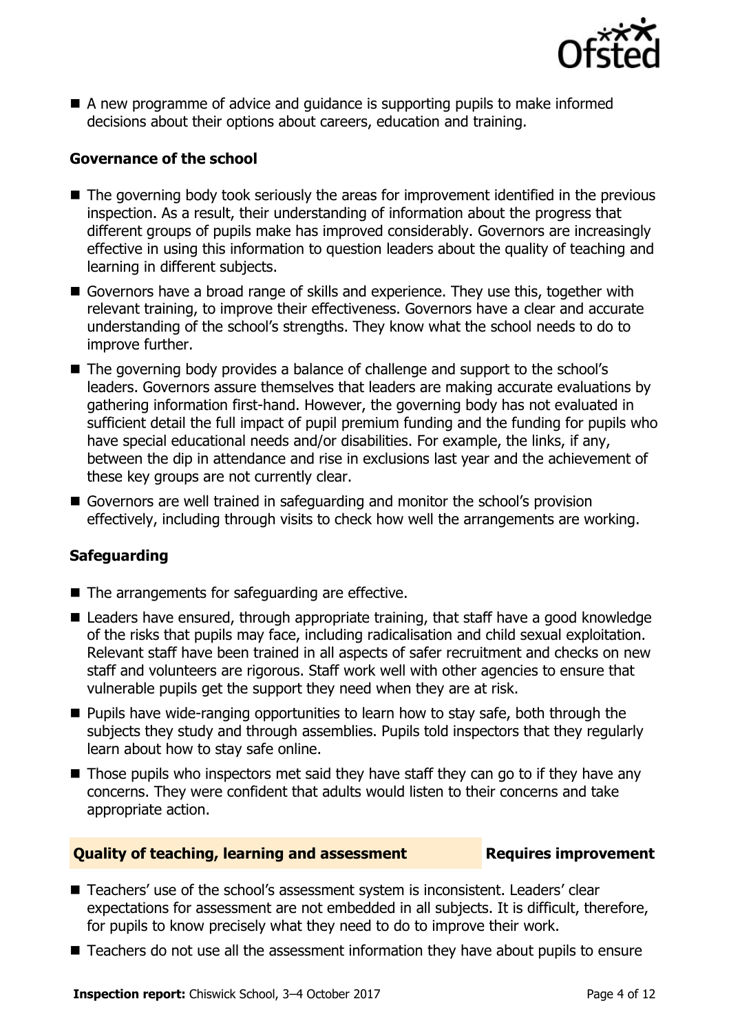

 A new programme of advice and guidance is supporting pupils to make informed decisions about their options about careers, education and training.

#### **Governance of the school**

- The governing body took seriously the areas for improvement identified in the previous inspection. As a result, their understanding of information about the progress that different groups of pupils make has improved considerably. Governors are increasingly effective in using this information to question leaders about the quality of teaching and learning in different subjects.
- Governors have a broad range of skills and experience. They use this, together with relevant training, to improve their effectiveness. Governors have a clear and accurate understanding of the school's strengths. They know what the school needs to do to improve further.
- The governing body provides a balance of challenge and support to the school's leaders. Governors assure themselves that leaders are making accurate evaluations by gathering information first-hand. However, the governing body has not evaluated in sufficient detail the full impact of pupil premium funding and the funding for pupils who have special educational needs and/or disabilities. For example, the links, if any, between the dip in attendance and rise in exclusions last year and the achievement of these key groups are not currently clear.
- Governors are well trained in safeguarding and monitor the school's provision effectively, including through visits to check how well the arrangements are working.

### **Safeguarding**

- The arrangements for safeguarding are effective.
- Leaders have ensured, through appropriate training, that staff have a good knowledge of the risks that pupils may face, including radicalisation and child sexual exploitation. Relevant staff have been trained in all aspects of safer recruitment and checks on new staff and volunteers are rigorous. Staff work well with other agencies to ensure that vulnerable pupils get the support they need when they are at risk.
- $\blacksquare$  Pupils have wide-ranging opportunities to learn how to stay safe, both through the subjects they study and through assemblies. Pupils told inspectors that they regularly learn about how to stay safe online.
- $\blacksquare$  Those pupils who inspectors met said they have staff they can go to if they have any concerns. They were confident that adults would listen to their concerns and take appropriate action.

#### **Quality of teaching, learning and assessment France Requires improvement**

- Teachers' use of the school's assessment system is inconsistent. Leaders' clear expectations for assessment are not embedded in all subjects. It is difficult, therefore, for pupils to know precisely what they need to do to improve their work.
- Teachers do not use all the assessment information they have about pupils to ensure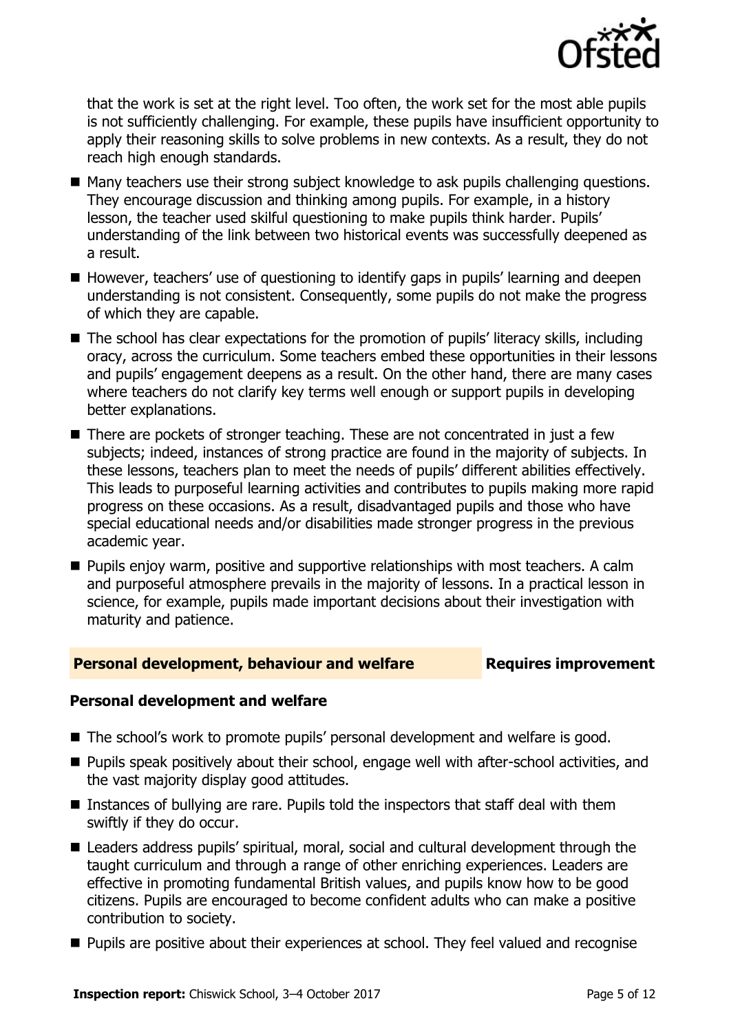

that the work is set at the right level. Too often, the work set for the most able pupils is not sufficiently challenging. For example, these pupils have insufficient opportunity to apply their reasoning skills to solve problems in new contexts. As a result, they do not reach high enough standards.

- Many teachers use their strong subject knowledge to ask pupils challenging questions. They encourage discussion and thinking among pupils. For example, in a history lesson, the teacher used skilful questioning to make pupils think harder. Pupils' understanding of the link between two historical events was successfully deepened as a result.
- However, teachers' use of questioning to identify gaps in pupils' learning and deepen understanding is not consistent. Consequently, some pupils do not make the progress of which they are capable.
- The school has clear expectations for the promotion of pupils' literacy skills, including oracy, across the curriculum. Some teachers embed these opportunities in their lessons and pupils' engagement deepens as a result. On the other hand, there are many cases where teachers do not clarify key terms well enough or support pupils in developing better explanations.
- There are pockets of stronger teaching. These are not concentrated in just a few subjects; indeed, instances of strong practice are found in the majority of subjects. In these lessons, teachers plan to meet the needs of pupils' different abilities effectively. This leads to purposeful learning activities and contributes to pupils making more rapid progress on these occasions. As a result, disadvantaged pupils and those who have special educational needs and/or disabilities made stronger progress in the previous academic year.
- **Pupils enjoy warm, positive and supportive relationships with most teachers. A calm** and purposeful atmosphere prevails in the majority of lessons. In a practical lesson in science, for example, pupils made important decisions about their investigation with maturity and patience.

### **Personal development, behaviour and welfare <b>Requires improvement**

### **Personal development and welfare**

- The school's work to promote pupils' personal development and welfare is good.
- **Pupils speak positively about their school, engage well with after-school activities, and** the vast majority display good attitudes.
- Instances of bullying are rare. Pupils told the inspectors that staff deal with them swiftly if they do occur.
- Leaders address pupils' spiritual, moral, social and cultural development through the taught curriculum and through a range of other enriching experiences. Leaders are effective in promoting fundamental British values, and pupils know how to be good citizens. Pupils are encouraged to become confident adults who can make a positive contribution to society.
- **Pupils are positive about their experiences at school. They feel valued and recognise**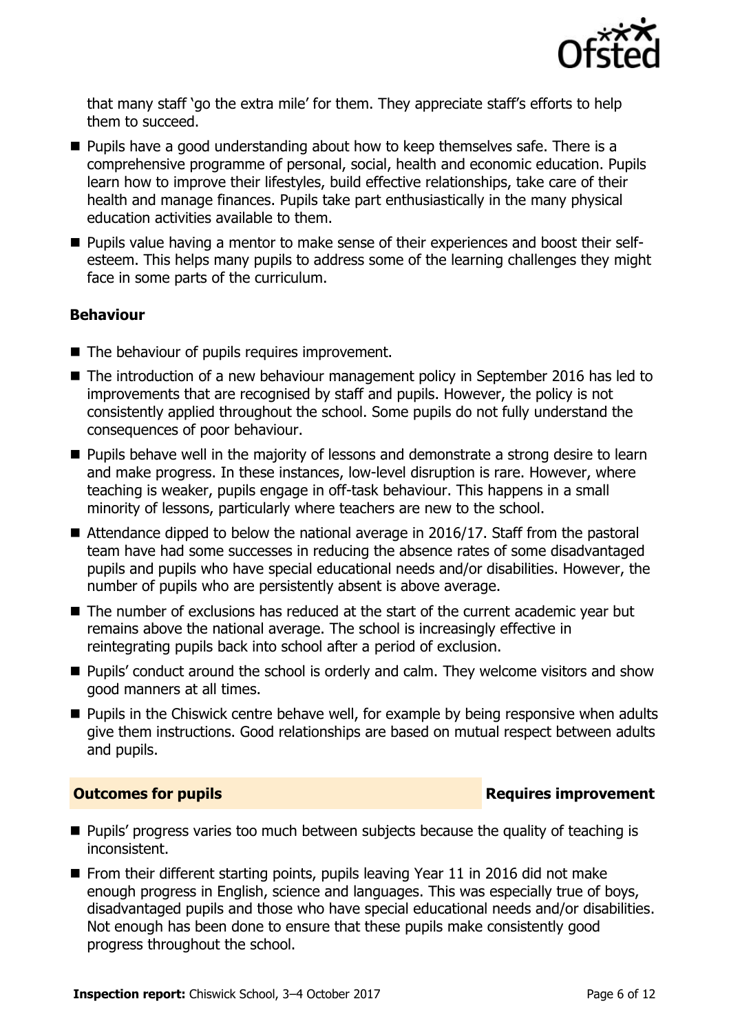

that many staff 'go the extra mile' for them. They appreciate staff's efforts to help them to succeed.

- **Pupils have a good understanding about how to keep themselves safe. There is a** comprehensive programme of personal, social, health and economic education. Pupils learn how to improve their lifestyles, build effective relationships, take care of their health and manage finances. Pupils take part enthusiastically in the many physical education activities available to them.
- **Pupils value having a mentor to make sense of their experiences and boost their self**esteem. This helps many pupils to address some of the learning challenges they might face in some parts of the curriculum.

### **Behaviour**

- The behaviour of pupils requires improvement.
- The introduction of a new behaviour management policy in September 2016 has led to improvements that are recognised by staff and pupils. However, the policy is not consistently applied throughout the school. Some pupils do not fully understand the consequences of poor behaviour.
- **Pupils behave well in the majority of lessons and demonstrate a strong desire to learn** and make progress. In these instances, low-level disruption is rare. However, where teaching is weaker, pupils engage in off-task behaviour. This happens in a small minority of lessons, particularly where teachers are new to the school.
- Attendance dipped to below the national average in 2016/17. Staff from the pastoral team have had some successes in reducing the absence rates of some disadvantaged pupils and pupils who have special educational needs and/or disabilities. However, the number of pupils who are persistently absent is above average.
- The number of exclusions has reduced at the start of the current academic year but remains above the national average. The school is increasingly effective in reintegrating pupils back into school after a period of exclusion.
- **Pupils'** conduct around the school is orderly and calm. They welcome visitors and show good manners at all times.
- **Pupils in the Chiswick centre behave well, for example by being responsive when adults** give them instructions. Good relationships are based on mutual respect between adults and pupils.

### **Outcomes for pupils Requires improvement**

- **Pupils' progress varies too much between subjects because the quality of teaching is** inconsistent.
- From their different starting points, pupils leaving Year 11 in 2016 did not make enough progress in English, science and languages. This was especially true of boys, disadvantaged pupils and those who have special educational needs and/or disabilities. Not enough has been done to ensure that these pupils make consistently good progress throughout the school.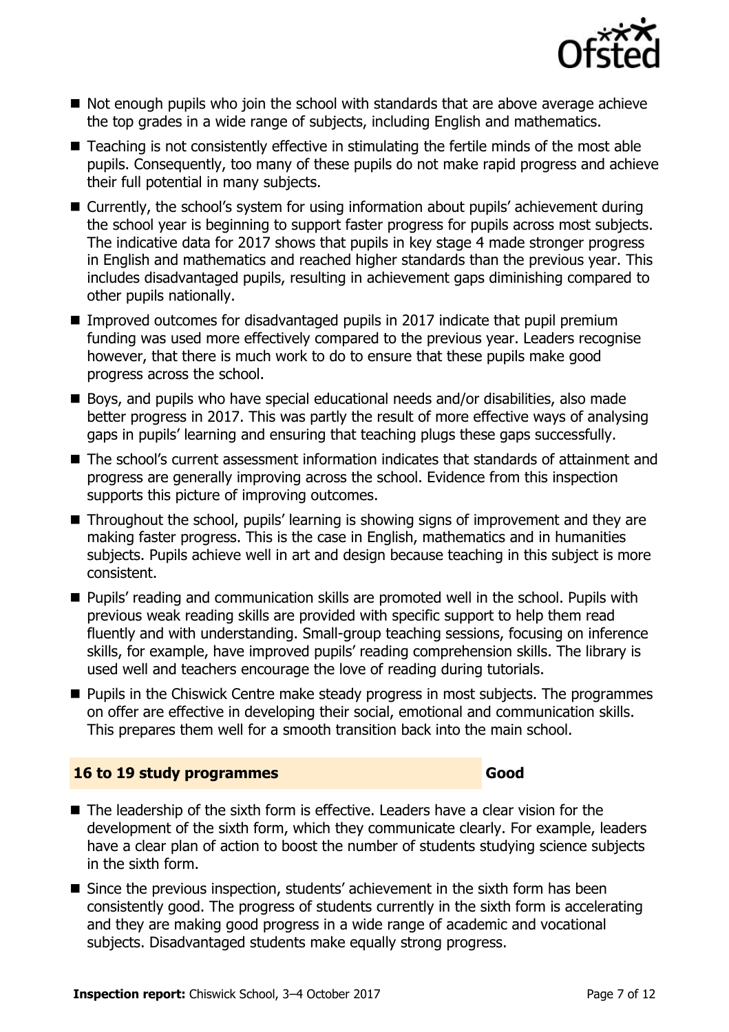

- Not enough pupils who join the school with standards that are above average achieve the top grades in a wide range of subjects, including English and mathematics.
- Teaching is not consistently effective in stimulating the fertile minds of the most able pupils. Consequently, too many of these pupils do not make rapid progress and achieve their full potential in many subjects.
- Currently, the school's system for using information about pupils' achievement during the school year is beginning to support faster progress for pupils across most subjects. The indicative data for 2017 shows that pupils in key stage 4 made stronger progress in English and mathematics and reached higher standards than the previous year. This includes disadvantaged pupils, resulting in achievement gaps diminishing compared to other pupils nationally.
- **Improved outcomes for disadvantaged pupils in 2017 indicate that pupil premium** funding was used more effectively compared to the previous year. Leaders recognise however, that there is much work to do to ensure that these pupils make good progress across the school.
- Boys, and pupils who have special educational needs and/or disabilities, also made better progress in 2017. This was partly the result of more effective ways of analysing gaps in pupils' learning and ensuring that teaching plugs these gaps successfully.
- The school's current assessment information indicates that standards of attainment and progress are generally improving across the school. Evidence from this inspection supports this picture of improving outcomes.
- Throughout the school, pupils' learning is showing signs of improvement and they are making faster progress. This is the case in English, mathematics and in humanities subjects. Pupils achieve well in art and design because teaching in this subject is more consistent.
- **Pupils'** reading and communication skills are promoted well in the school. Pupils with previous weak reading skills are provided with specific support to help them read fluently and with understanding. Small-group teaching sessions, focusing on inference skills, for example, have improved pupils' reading comprehension skills. The library is used well and teachers encourage the love of reading during tutorials.
- Pupils in the Chiswick Centre make steady progress in most subjects. The programmes on offer are effective in developing their social, emotional and communication skills. This prepares them well for a smooth transition back into the main school.

#### **16 to 19 study programmes Good**

- $\blacksquare$  The leadership of the sixth form is effective. Leaders have a clear vision for the development of the sixth form, which they communicate clearly. For example, leaders have a clear plan of action to boost the number of students studying science subjects in the sixth form.
- Since the previous inspection, students' achievement in the sixth form has been consistently good. The progress of students currently in the sixth form is accelerating and they are making good progress in a wide range of academic and vocational subjects. Disadvantaged students make equally strong progress.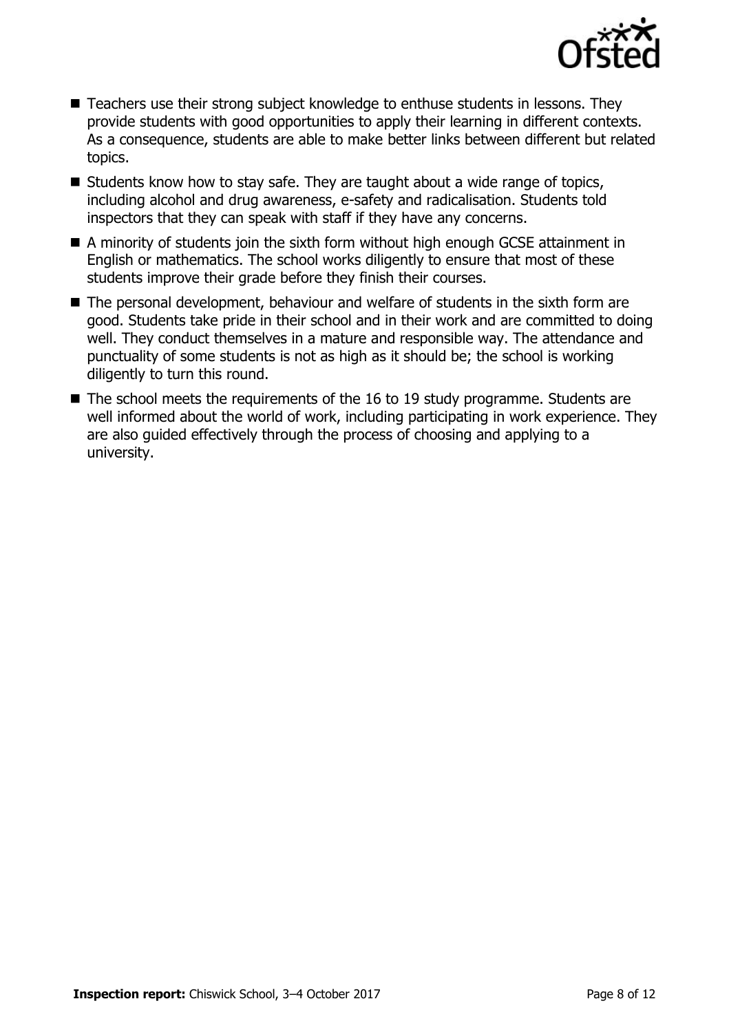

- Teachers use their strong subject knowledge to enthuse students in lessons. They provide students with good opportunities to apply their learning in different contexts. As a consequence, students are able to make better links between different but related topics.
- $\blacksquare$  Students know how to stay safe. They are taught about a wide range of topics, including alcohol and drug awareness, e-safety and radicalisation. Students told inspectors that they can speak with staff if they have any concerns.
- A minority of students join the sixth form without high enough GCSE attainment in English or mathematics. The school works diligently to ensure that most of these students improve their grade before they finish their courses.
- The personal development, behaviour and welfare of students in the sixth form are good. Students take pride in their school and in their work and are committed to doing well. They conduct themselves in a mature and responsible way. The attendance and punctuality of some students is not as high as it should be; the school is working diligently to turn this round.
- $\blacksquare$  The school meets the requirements of the 16 to 19 study programme. Students are well informed about the world of work, including participating in work experience. They are also guided effectively through the process of choosing and applying to a university.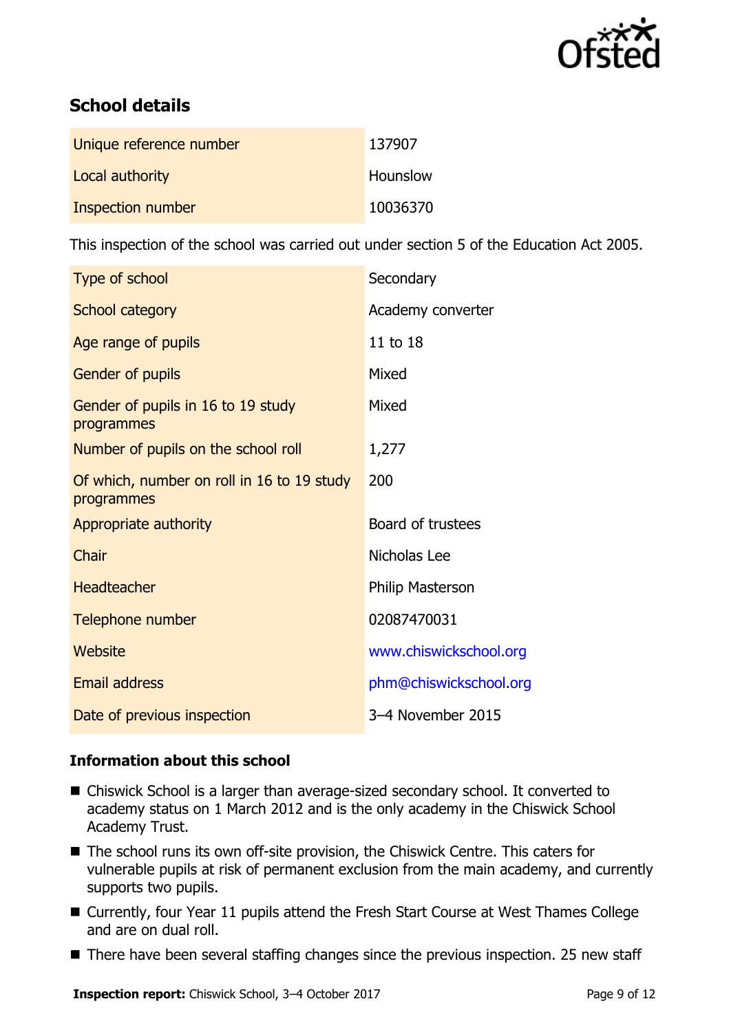

# **School details**

| Unique reference number | 137907   |
|-------------------------|----------|
| Local authority         | Hounslow |
| Inspection number       | 10036370 |

This inspection of the school was carried out under section 5 of the Education Act 2005.

| Type of school                                           | Secondary              |
|----------------------------------------------------------|------------------------|
| School category                                          | Academy converter      |
| Age range of pupils                                      | 11 to 18               |
| <b>Gender of pupils</b>                                  | Mixed                  |
| Gender of pupils in 16 to 19 study<br>programmes         | Mixed                  |
| Number of pupils on the school roll                      | 1,277                  |
| Of which, number on roll in 16 to 19 study<br>programmes | 200                    |
| Appropriate authority                                    | Board of trustees      |
| Chair                                                    | Nicholas Lee           |
| <b>Headteacher</b>                                       | Philip Masterson       |
| Telephone number                                         | 02087470031            |
| Website                                                  | www.chiswickschool.org |
| <b>Email address</b>                                     | phm@chiswickschool.org |
| Date of previous inspection                              | 3-4 November 2015      |

### **Information about this school**

- Chiswick School is a larger than average-sized secondary school. It converted to academy status on 1 March 2012 and is the only academy in the Chiswick School Academy Trust.
- The school runs its own off-site provision, the Chiswick Centre. This caters for vulnerable pupils at risk of permanent exclusion from the main academy, and currently supports two pupils.
- Currently, four Year 11 pupils attend the Fresh Start Course at West Thames College and are on dual roll.
- There have been several staffing changes since the previous inspection. 25 new staff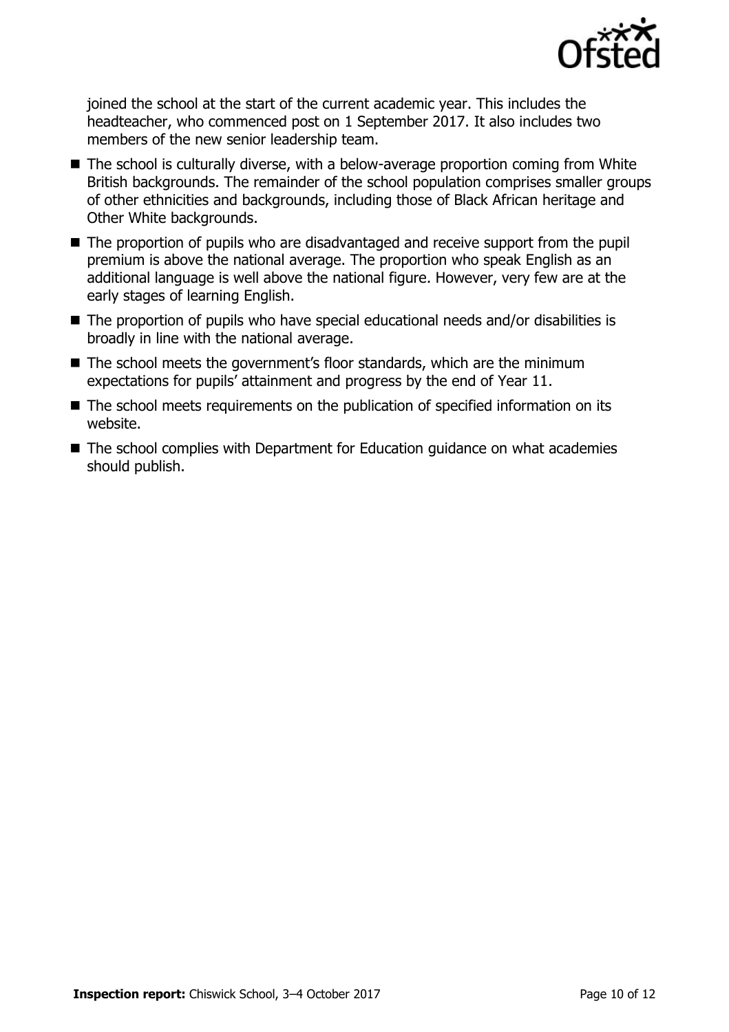

joined the school at the start of the current academic year. This includes the headteacher, who commenced post on 1 September 2017. It also includes two members of the new senior leadership team.

- The school is culturally diverse, with a below-average proportion coming from White British backgrounds. The remainder of the school population comprises smaller groups of other ethnicities and backgrounds, including those of Black African heritage and Other White backgrounds.
- The proportion of pupils who are disadvantaged and receive support from the pupil premium is above the national average. The proportion who speak English as an additional language is well above the national figure. However, very few are at the early stages of learning English.
- The proportion of pupils who have special educational needs and/or disabilities is broadly in line with the national average.
- The school meets the government's floor standards, which are the minimum expectations for pupils' attainment and progress by the end of Year 11.
- The school meets requirements on the publication of specified information on its website.
- The school complies with Department for Education guidance on what academies should publish.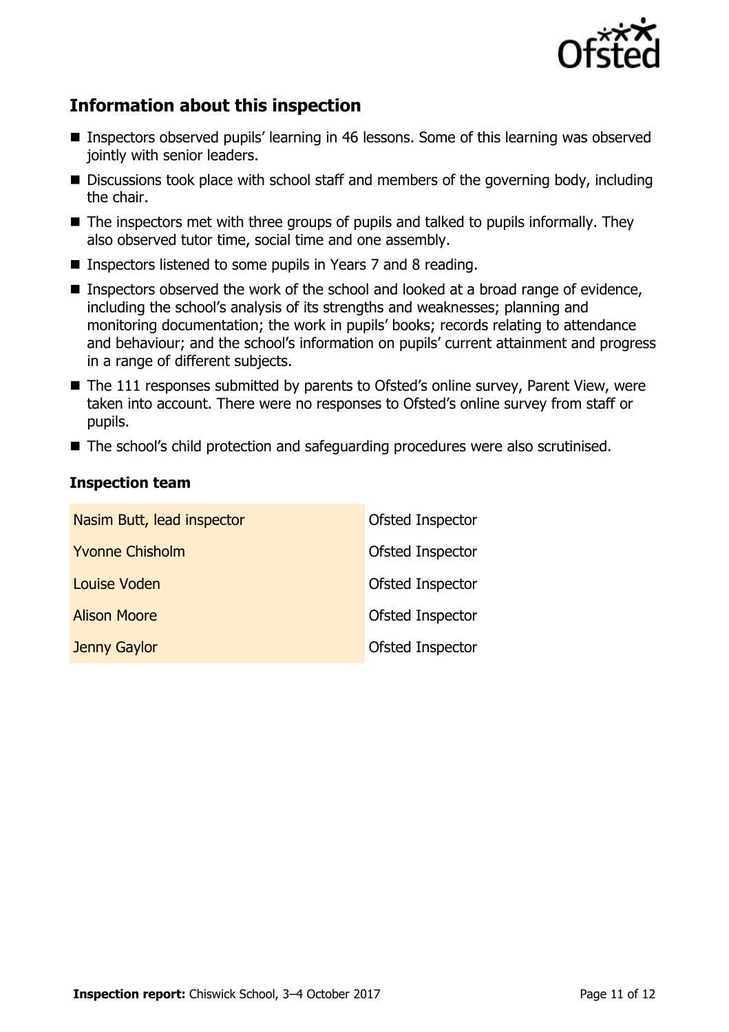

# **Information about this inspection**

- Inspectors observed pupils' learning in 46 lessons. Some of this learning was observed jointly with senior leaders.
- Discussions took place with school staff and members of the governing body, including the chair.
- $\blacksquare$  The inspectors met with three groups of pupils and talked to pupils informally. They also observed tutor time, social time and one assembly.
- Inspectors listened to some pupils in Years 7 and 8 reading.
- **Inspectors observed the work of the school and looked at a broad range of evidence,** including the school's analysis of its strengths and weaknesses; planning and monitoring documentation; the work in pupils' books; records relating to attendance and behaviour; and the school's information on pupils' current attainment and progress in a range of different subjects.
- The 111 responses submitted by parents to Ofsted's online survey, Parent View, were taken into account. There were no responses to Ofsted's online survey from staff or pupils.
- The school's child protection and safeguarding procedures were also scrutinised.

#### **Inspection team**

| Nasim Butt, lead inspector | Ofsted Inspector |
|----------------------------|------------------|
| <b>Yvonne Chisholm</b>     | Ofsted Inspector |
| Louise Voden               | Ofsted Inspector |
| <b>Alison Moore</b>        | Ofsted Inspector |
| Jenny Gaylor               | Ofsted Inspector |